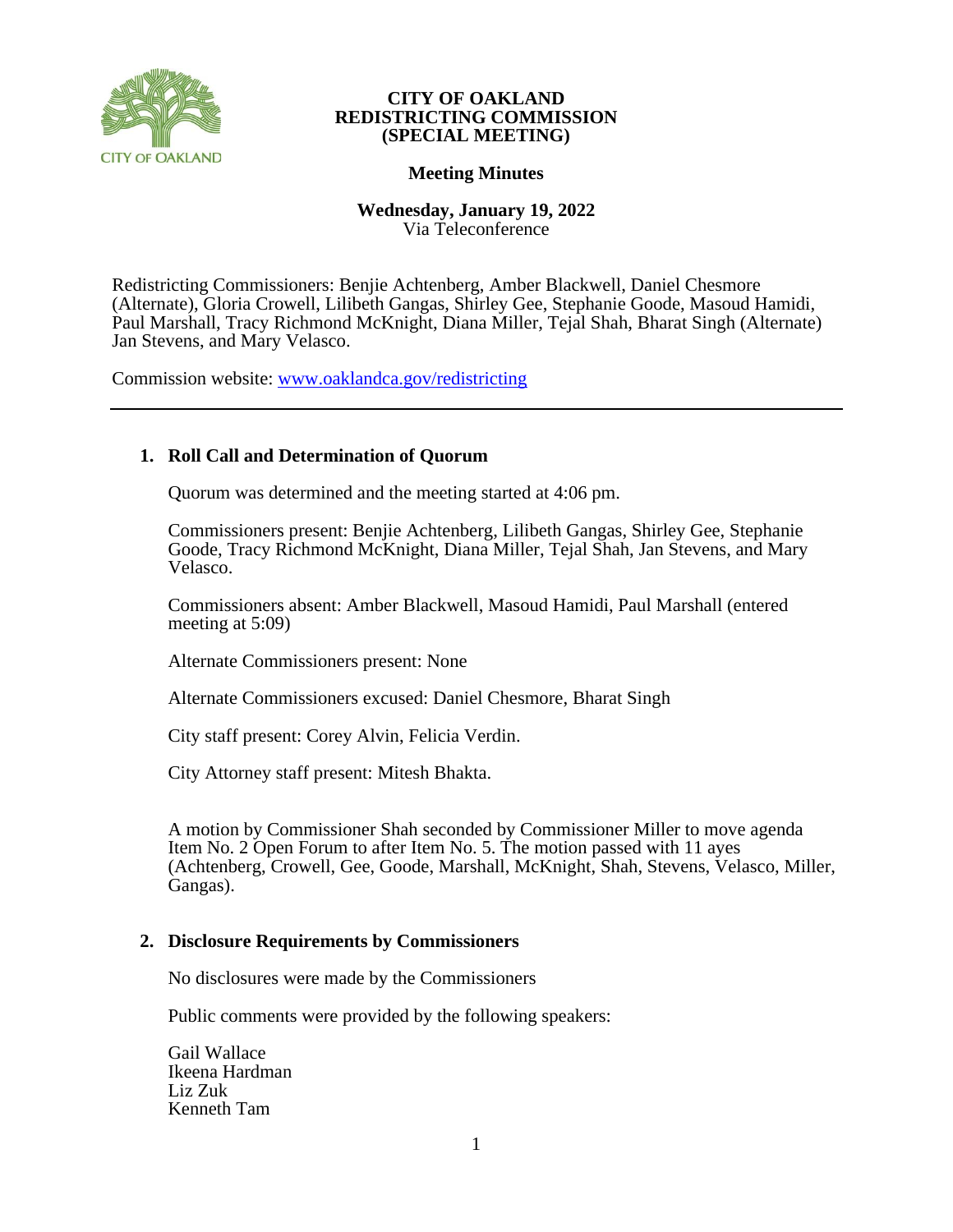

# **Meeting Minutes**

**Wednesday, January 19, 2022** Via Teleconference

Redistricting Commissioners: Benjie Achtenberg, Amber Blackwell, Daniel Chesmore (Alternate), Gloria Crowell, Lilibeth Gangas, Shirley Gee, Stephanie Goode, Masoud Hamidi, Paul Marshall, Tracy Richmond McKnight, Diana Miller, Tejal Shah, Bharat Singh (Alternate) Jan Stevens, and Mary Velasco.

Commission website: [www.oaklandca.gov/redistricting](https://www.oaklandca.gov/boards-commissions/redistricting-commission/meetings)

# **1. Roll Call and Determination of Quorum**

Quorum was determined and the meeting started at 4:06 pm.

Commissioners present: Benjie Achtenberg, Lilibeth Gangas, Shirley Gee, Stephanie Goode, Tracy Richmond McKnight, Diana Miller, Tejal Shah, Jan Stevens, and Mary Velasco.

Commissioners absent: Amber Blackwell, Masoud Hamidi, Paul Marshall (entered meeting at 5:09)

Alternate Commissioners present: None

Alternate Commissioners excused: Daniel Chesmore, Bharat Singh

City staff present: Corey Alvin, Felicia Verdin.

City Attorney staff present: Mitesh Bhakta.

A motion by Commissioner Shah seconded by Commissioner Miller to move agenda Item No. 2 Open Forum to after Item No. 5. The motion passed with 11 ayes (Achtenberg, Crowell, Gee, Goode, Marshall, McKnight, Shah, Stevens, Velasco, Miller, Gangas).

## **2. Disclosure Requirements by Commissioners**

No disclosures were made by the Commissioners

Public comments were provided by the following speakers:

Gail Wallace Ikeena Hardman Liz Zuk Kenneth Tam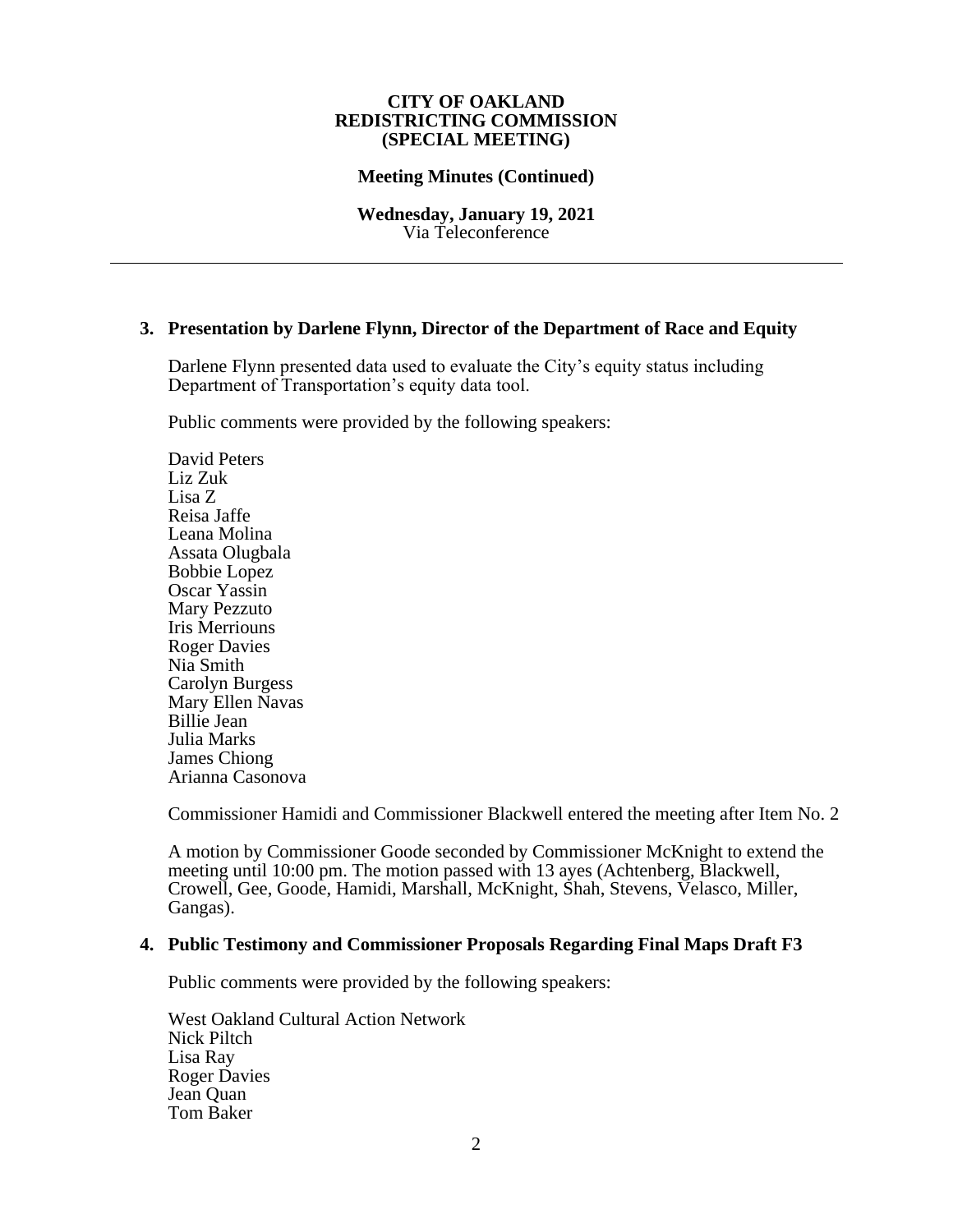### **Meeting Minutes (Continued)**

**Wednesday, January 19, 2021** Via Teleconference

## **3. Presentation by Darlene Flynn, Director of the Department of Race and Equity**

Darlene Flynn presented data used to evaluate the City's equity status including Department of Transportation's equity data tool.

Public comments were provided by the following speakers:

David Peters Liz Zuk Lisa Z Reisa Jaffe Leana Molina Assata Olugbala Bobbie Lopez Oscar Yassin Mary Pezzuto Iris Merriouns Roger Davies Nia Smith Carolyn Burgess Mary Ellen Navas Billie Jean Julia Marks James Chiong Arianna Casonova

Commissioner Hamidi and Commissioner Blackwell entered the meeting after Item No. 2

A motion by Commissioner Goode seconded by Commissioner McKnight to extend the meeting until 10:00 pm. The motion passed with 13 ayes (Achtenberg, Blackwell, Crowell, Gee, Goode, Hamidi, Marshall, McKnight, Shah, Stevens, Velasco, Miller, Gangas).

## **4. Public Testimony and Commissioner Proposals Regarding Final Maps Draft F3**

Public comments were provided by the following speakers:

West Oakland Cultural Action Network Nick Piltch Lisa Ray Roger Davies Jean Quan Tom Baker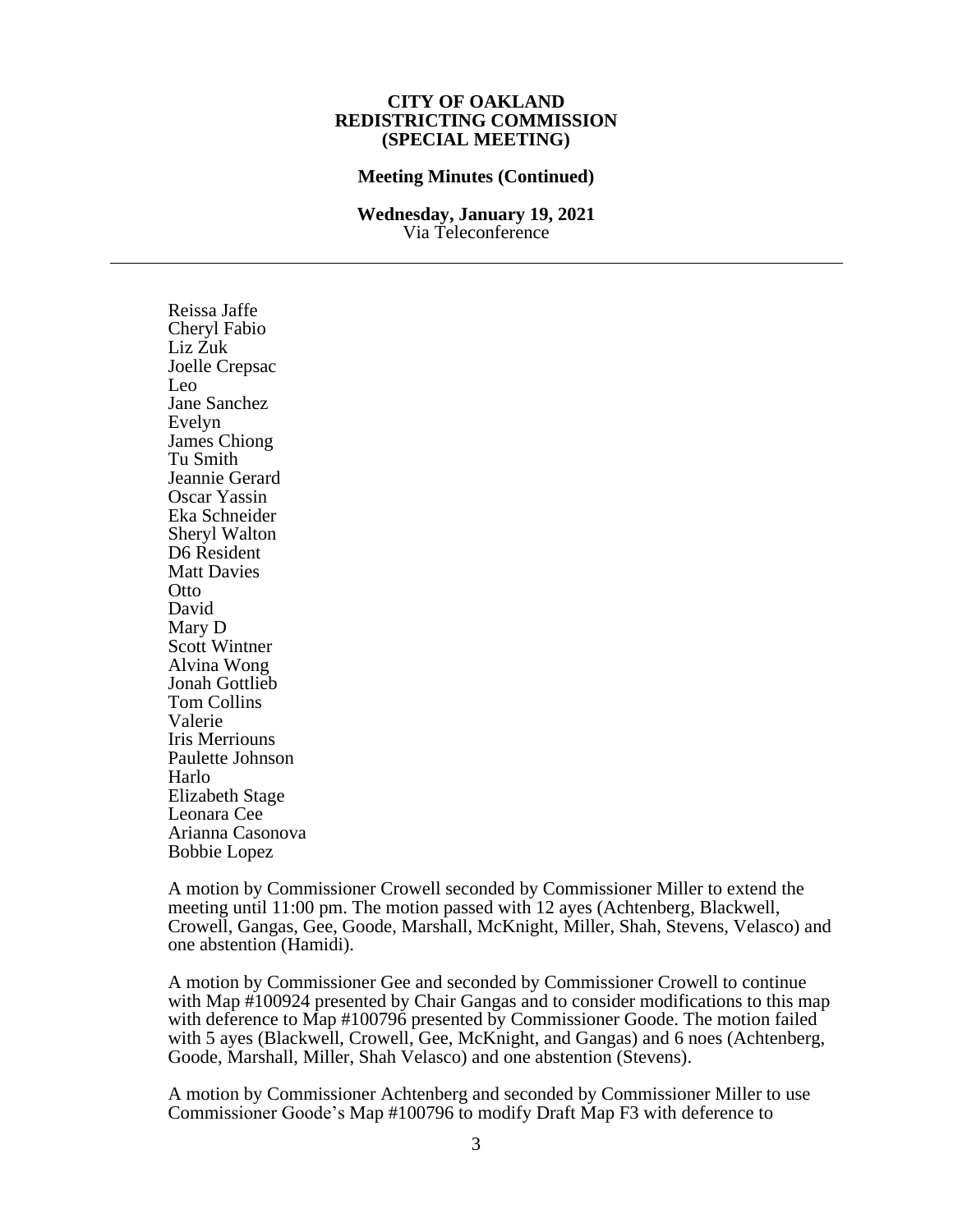#### **Meeting Minutes (Continued)**

#### **Wednesday, January 19, 2021** Via Teleconference

Reissa Jaffe Cheryl Fabio Liz Zuk Joelle Crepsac Leo Jane Sanchez Evelyn James Chiong Tu Smith Jeannie Gerard Oscar Yassin Eka Schneider Sheryl Walton D6 Resident Matt Davies **Otto** David Mary D Scott Wintner Alvina Wong Jonah Gottlieb Tom Collins Valerie Iris Merriouns Paulette Johnson Harlo Elizabeth Stage Leonara Cee Arianna Casonova Bobbie Lopez

A motion by Commissioner Crowell seconded by Commissioner Miller to extend the meeting until 11:00 pm. The motion passed with 12 ayes (Achtenberg, Blackwell, Crowell, Gangas, Gee, Goode, Marshall, McKnight, Miller, Shah, Stevens, Velasco) and one abstention (Hamidi).

A motion by Commissioner Gee and seconded by Commissioner Crowell to continue with Map #100924 presented by Chair Gangas and to consider modifications to this map with deference to Map #100796 presented by Commissioner Goode. The motion failed with 5 ayes (Blackwell, Crowell, Gee, McKnight, and Gangas) and 6 noes (Achtenberg, Goode, Marshall, Miller, Shah Velasco) and one abstention (Stevens).

A motion by Commissioner Achtenberg and seconded by Commissioner Miller to use Commissioner Goode's Map #100796 to modify Draft Map F3 with deference to